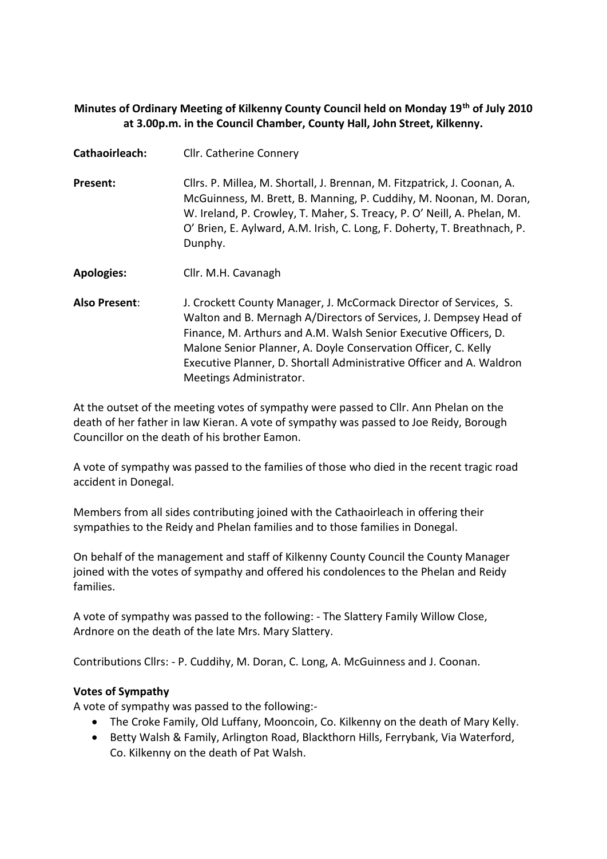## **Minutes of Ordinary Meeting of Kilkenny County Council held on Monday 19th of July 2010 at 3.00p.m. in the Council Chamber, County Hall, John Street, Kilkenny.**

| Cathaoirleach:    | <b>Cllr. Catherine Connery</b>                                                                                                                                                                                                                                                                                                                                                  |  |
|-------------------|---------------------------------------------------------------------------------------------------------------------------------------------------------------------------------------------------------------------------------------------------------------------------------------------------------------------------------------------------------------------------------|--|
| Present:          | Cllrs. P. Millea, M. Shortall, J. Brennan, M. Fitzpatrick, J. Coonan, A.<br>McGuinness, M. Brett, B. Manning, P. Cuddihy, M. Noonan, M. Doran,<br>W. Ireland, P. Crowley, T. Maher, S. Treacy, P. O' Neill, A. Phelan, M.<br>O' Brien, E. Aylward, A.M. Irish, C. Long, F. Doherty, T. Breathnach, P.<br>Dunphy.                                                                |  |
| <b>Apologies:</b> | Cllr. M.H. Cavanagh                                                                                                                                                                                                                                                                                                                                                             |  |
| Also Present:     | J. Crockett County Manager, J. McCormack Director of Services, S.<br>Walton and B. Mernagh A/Directors of Services, J. Dempsey Head of<br>Finance, M. Arthurs and A.M. Walsh Senior Executive Officers, D.<br>Malone Senior Planner, A. Doyle Conservation Officer, C. Kelly<br>Executive Planner, D. Shortall Administrative Officer and A. Waldron<br>Meetings Administrator. |  |

At the outset of the meeting votes of sympathy were passed to Cllr. Ann Phelan on the death of her father in law Kieran. A vote of sympathy was passed to Joe Reidy, Borough Councillor on the death of his brother Eamon.

A vote of sympathy was passed to the families of those who died in the recent tragic road accident in Donegal.

Members from all sides contributing joined with the Cathaoirleach in offering their sympathies to the Reidy and Phelan families and to those families in Donegal.

On behalf of the management and staff of Kilkenny County Council the County Manager joined with the votes of sympathy and offered his condolences to the Phelan and Reidy families.

A vote of sympathy was passed to the following: - The Slattery Family Willow Close, Ardnore on the death of the late Mrs. Mary Slattery.

Contributions Cllrs: - P. Cuddihy, M. Doran, C. Long, A. McGuinness and J. Coonan.

## **Votes of Sympathy**

A vote of sympathy was passed to the following:-

- The Croke Family, Old Luffany, Mooncoin, Co. Kilkenny on the death of Mary Kelly.
- Betty Walsh & Family, Arlington Road, Blackthorn Hills, Ferrybank, Via Waterford, Co. Kilkenny on the death of Pat Walsh.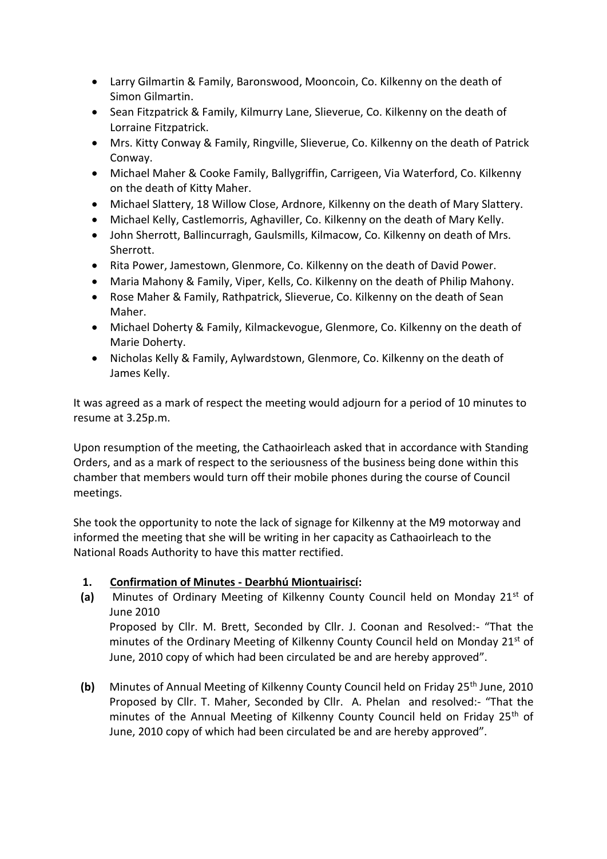- Larry Gilmartin & Family, Baronswood, Mooncoin, Co. Kilkenny on the death of Simon Gilmartin.
- Sean Fitzpatrick & Family, Kilmurry Lane, Slieverue, Co. Kilkenny on the death of Lorraine Fitzpatrick.
- Mrs. Kitty Conway & Family, Ringville, Slieverue, Co. Kilkenny on the death of Patrick Conway.
- Michael Maher & Cooke Family, Ballygriffin, Carrigeen, Via Waterford, Co. Kilkenny on the death of Kitty Maher.
- Michael Slattery, 18 Willow Close, Ardnore, Kilkenny on the death of Mary Slattery.
- Michael Kelly, Castlemorris, Aghaviller, Co. Kilkenny on the death of Mary Kelly.
- John Sherrott, Ballincurragh, Gaulsmills, Kilmacow, Co. Kilkenny on death of Mrs. Sherrott.
- Rita Power, Jamestown, Glenmore, Co. Kilkenny on the death of David Power.
- Maria Mahony & Family, Viper, Kells, Co. Kilkenny on the death of Philip Mahony.
- Rose Maher & Family, Rathpatrick, Slieverue, Co. Kilkenny on the death of Sean Maher.
- Michael Doherty & Family, Kilmackevogue, Glenmore, Co. Kilkenny on the death of Marie Doherty.
- Nicholas Kelly & Family, Aylwardstown, Glenmore, Co. Kilkenny on the death of James Kelly.

It was agreed as a mark of respect the meeting would adjourn for a period of 10 minutes to resume at 3.25p.m.

Upon resumption of the meeting, the Cathaoirleach asked that in accordance with Standing Orders, and as a mark of respect to the seriousness of the business being done within this chamber that members would turn off their mobile phones during the course of Council meetings.

She took the opportunity to note the lack of signage for Kilkenny at the M9 motorway and informed the meeting that she will be writing in her capacity as Cathaoirleach to the National Roads Authority to have this matter rectified.

# **1. Confirmation of Minutes - Dearbhú Miontuairiscí:**

- **(a)** Minutes of Ordinary Meeting of Kilkenny County Council held on Monday 21st of June 2010 Proposed by Cllr. M. Brett, Seconded by Cllr. J. Coonan and Resolved:- "That the minutes of the Ordinary Meeting of Kilkenny County Council held on Monday 21<sup>st</sup> of June, 2010 copy of which had been circulated be and are hereby approved".
- **(b)** Minutes of Annual Meeting of Kilkenny County Council held on Friday 25th June, 2010 Proposed by Cllr. T. Maher, Seconded by Cllr. A. Phelan and resolved:- "That the minutes of the Annual Meeting of Kilkenny County Council held on Friday  $25<sup>th</sup>$  of June, 2010 copy of which had been circulated be and are hereby approved".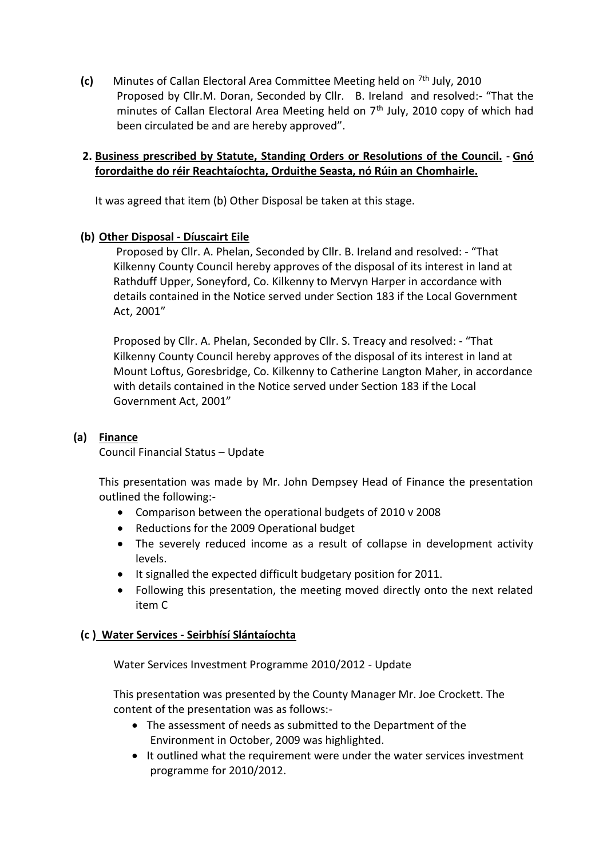**(c)** Minutes of Callan Electoral Area Committee Meeting held on <sup>7th</sup> July, 2010 Proposed by Cllr.M. Doran, Seconded by Cllr. B. Ireland and resolved:- "That the minutes of Callan Electoral Area Meeting held on 7<sup>th</sup> July, 2010 copy of which had been circulated be and are hereby approved".

## **2. Business prescribed by Statute, Standing Orders or Resolutions of the Council.** - **Gnó forordaithe do réir Reachtaíochta, Orduithe Seasta, nó Rúin an Chomhairle.**

It was agreed that item (b) Other Disposal be taken at this stage.

## **(b) Other Disposal - Díuscairt Eile**

Proposed by Cllr. A. Phelan, Seconded by Cllr. B. Ireland and resolved: - "That Kilkenny County Council hereby approves of the disposal of its interest in land at Rathduff Upper, Soneyford, Co. Kilkenny to Mervyn Harper in accordance with details contained in the Notice served under Section 183 if the Local Government Act, 2001"

Proposed by Cllr. A. Phelan, Seconded by Cllr. S. Treacy and resolved: - "That Kilkenny County Council hereby approves of the disposal of its interest in land at Mount Loftus, Goresbridge, Co. Kilkenny to Catherine Langton Maher, in accordance with details contained in the Notice served under Section 183 if the Local Government Act, 2001"

## **(a) Finance**

Council Financial Status – Update

This presentation was made by Mr. John Dempsey Head of Finance the presentation outlined the following:-

- Comparison between the operational budgets of 2010 v 2008
- Reductions for the 2009 Operational budget
- The severely reduced income as a result of collapse in development activity levels.
- It signalled the expected difficult budgetary position for 2011.
- Following this presentation, the meeting moved directly onto the next related item C

### **(c ) Water Services - Seirbhísí Slántaíochta**

Water Services Investment Programme 2010/2012 - Update

This presentation was presented by the County Manager Mr. Joe Crockett. The content of the presentation was as follows:-

- The assessment of needs as submitted to the Department of the Environment in October, 2009 was highlighted.
- It outlined what the requirement were under the water services investment programme for 2010/2012.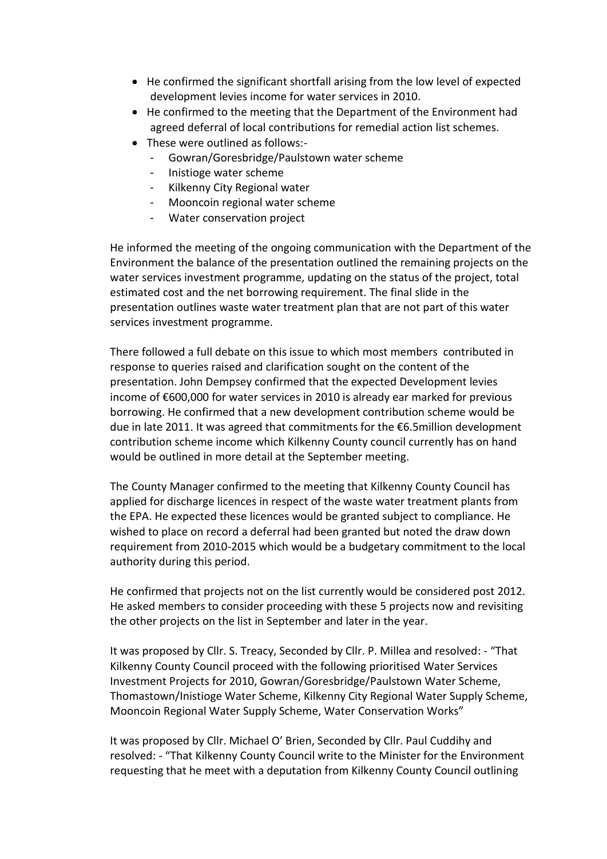- He confirmed the significant shortfall arising from the low level of expected development levies income for water services in 2010.
- He confirmed to the meeting that the Department of the Environment had agreed deferral of local contributions for remedial action list schemes.
- These were outlined as follows:-
	- Gowran/Goresbridge/Paulstown water scheme
	- Inistioge water scheme
	- Kilkenny City Regional water
	- Mooncoin regional water scheme
	- Water conservation project

He informed the meeting of the ongoing communication with the Department of the Environment the balance of the presentation outlined the remaining projects on the water services investment programme, updating on the status of the project, total estimated cost and the net borrowing requirement. The final slide in the presentation outlines waste water treatment plan that are not part of this water services investment programme.

There followed a full debate on this issue to which most members contributed in response to queries raised and clarification sought on the content of the presentation. John Dempsey confirmed that the expected Development levies income of €600,000 for water services in 2010 is already ear marked for previous borrowing. He confirmed that a new development contribution scheme would be due in late 2011. It was agreed that commitments for the €6.5million development contribution scheme income which Kilkenny County council currently has on hand would be outlined in more detail at the September meeting.

The County Manager confirmed to the meeting that Kilkenny County Council has applied for discharge licences in respect of the waste water treatment plants from the EPA. He expected these licences would be granted subject to compliance. He wished to place on record a deferral had been granted but noted the draw down requirement from 2010-2015 which would be a budgetary commitment to the local authority during this period.

He confirmed that projects not on the list currently would be considered post 2012. He asked members to consider proceeding with these 5 projects now and revisiting the other projects on the list in September and later in the year.

It was proposed by Cllr. S. Treacy, Seconded by Cllr. P. Millea and resolved: - "That Kilkenny County Council proceed with the following prioritised Water Services Investment Projects for 2010, Gowran/Goresbridge/Paulstown Water Scheme, Thomastown/Inistioge Water Scheme, Kilkenny City Regional Water Supply Scheme, Mooncoin Regional Water Supply Scheme, Water Conservation Works"

It was proposed by Cllr. Michael O' Brien, Seconded by Cllr. Paul Cuddihy and resolved: - "That Kilkenny County Council write to the Minister for the Environment requesting that he meet with a deputation from Kilkenny County Council outlining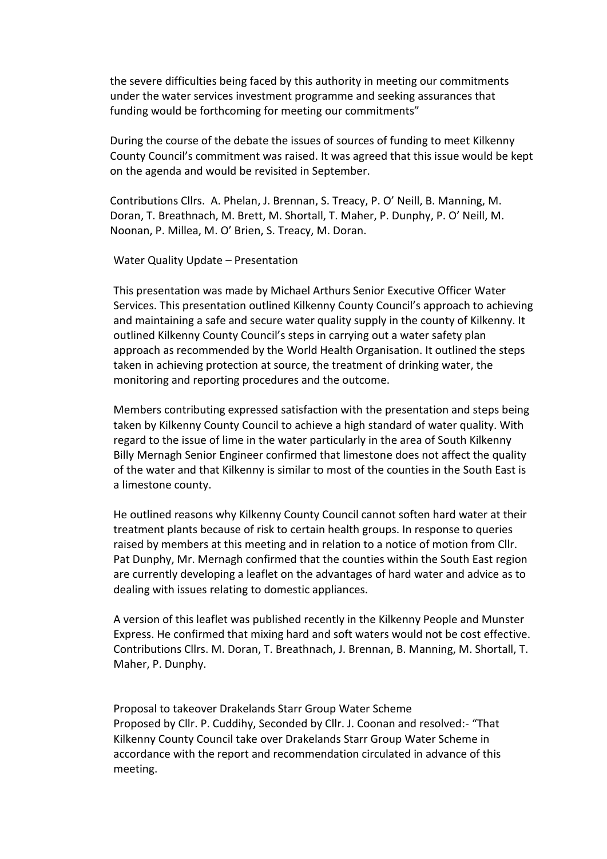the severe difficulties being faced by this authority in meeting our commitments under the water services investment programme and seeking assurances that funding would be forthcoming for meeting our commitments"

During the course of the debate the issues of sources of funding to meet Kilkenny County Council's commitment was raised. It was agreed that this issue would be kept on the agenda and would be revisited in September.

Contributions Cllrs. A. Phelan, J. Brennan, S. Treacy, P. O' Neill, B. Manning, M. Doran, T. Breathnach, M. Brett, M. Shortall, T. Maher, P. Dunphy, P. O' Neill, M. Noonan, P. Millea, M. O' Brien, S. Treacy, M. Doran.

#### Water Quality Update – Presentation

This presentation was made by Michael Arthurs Senior Executive Officer Water Services. This presentation outlined Kilkenny County Council's approach to achieving and maintaining a safe and secure water quality supply in the county of Kilkenny. It outlined Kilkenny County Council's steps in carrying out a water safety plan approach as recommended by the World Health Organisation. It outlined the steps taken in achieving protection at source, the treatment of drinking water, the monitoring and reporting procedures and the outcome.

Members contributing expressed satisfaction with the presentation and steps being taken by Kilkenny County Council to achieve a high standard of water quality. With regard to the issue of lime in the water particularly in the area of South Kilkenny Billy Mernagh Senior Engineer confirmed that limestone does not affect the quality of the water and that Kilkenny is similar to most of the counties in the South East is a limestone county.

He outlined reasons why Kilkenny County Council cannot soften hard water at their treatment plants because of risk to certain health groups. In response to queries raised by members at this meeting and in relation to a notice of motion from Cllr. Pat Dunphy, Mr. Mernagh confirmed that the counties within the South East region are currently developing a leaflet on the advantages of hard water and advice as to dealing with issues relating to domestic appliances.

A version of this leaflet was published recently in the Kilkenny People and Munster Express. He confirmed that mixing hard and soft waters would not be cost effective. Contributions Cllrs. M. Doran, T. Breathnach, J. Brennan, B. Manning, M. Shortall, T. Maher, P. Dunphy.

Proposal to takeover Drakelands Starr Group Water Scheme Proposed by Cllr. P. Cuddihy, Seconded by Cllr. J. Coonan and resolved:- "That Kilkenny County Council take over Drakelands Starr Group Water Scheme in accordance with the report and recommendation circulated in advance of this meeting.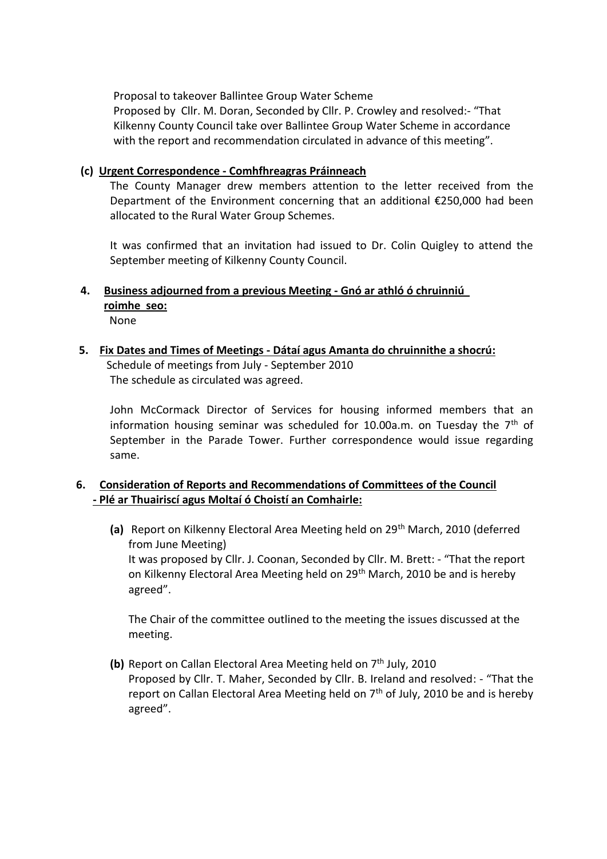Proposal to takeover Ballintee Group Water Scheme

Proposed by Cllr. M. Doran, Seconded by Cllr. P. Crowley and resolved:- "That Kilkenny County Council take over Ballintee Group Water Scheme in accordance with the report and recommendation circulated in advance of this meeting".

## **(c) Urgent Correspondence - Comhfhreagras Práinneach**

The County Manager drew members attention to the letter received from the Department of the Environment concerning that an additional €250,000 had been allocated to the Rural Water Group Schemes.

It was confirmed that an invitation had issued to Dr. Colin Quigley to attend the September meeting of Kilkenny County Council.

- **4. Business adjourned from a previous Meeting - Gnó ar athló ó chruinniú roimhe seo:** None
- **5. Fix Dates and Times of Meetings - Dátaí agus Amanta do chruinnithe a shocrú:** Schedule of meetings from July - September 2010 The schedule as circulated was agreed.

John McCormack Director of Services for housing informed members that an information housing seminar was scheduled for 10.00a.m. on Tuesday the  $7<sup>th</sup>$  of September in the Parade Tower. Further correspondence would issue regarding same.

## **6. Consideration of Reports and Recommendations of Committees of the Council - Plé ar Thuairiscí agus Moltaí ó Choistí an Comhairle:**

(a) Report on Kilkenny Electoral Area Meeting held on 29<sup>th</sup> March, 2010 (deferred from June Meeting) It was proposed by Cllr. J. Coonan, Seconded by Cllr. M. Brett: - "That the report on Kilkenny Electoral Area Meeting held on 29<sup>th</sup> March, 2010 be and is hereby agreed".

The Chair of the committee outlined to the meeting the issues discussed at the meeting.

**(b)** Report on Callan Electoral Area Meeting held on 7<sup>th</sup> July, 2010 Proposed by Cllr. T. Maher, Seconded by Cllr. B. Ireland and resolved: - "That the report on Callan Electoral Area Meeting held on  $7<sup>th</sup>$  of July, 2010 be and is hereby agreed".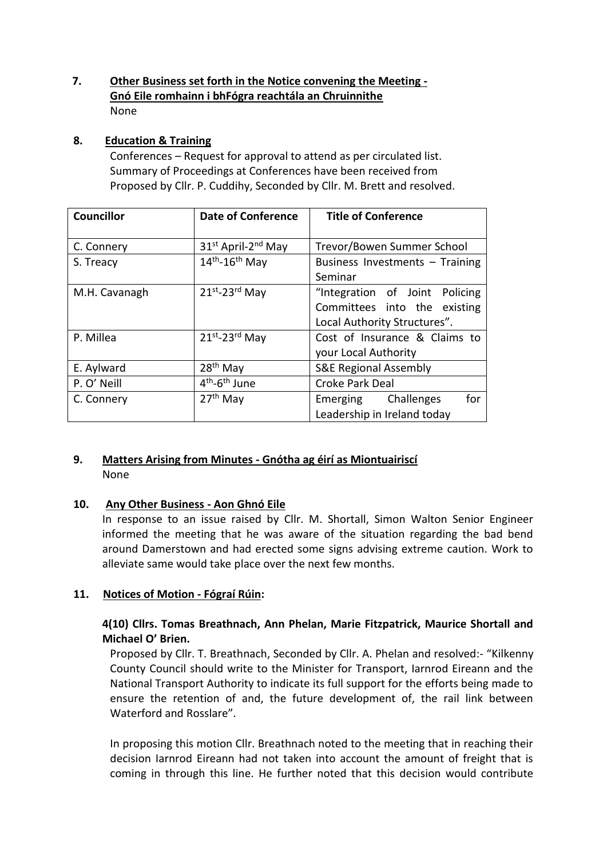## **7. Other Business set forth in the Notice convening the Meeting - Gnó Eile romhainn i bhFógra reachtála an Chruinnithe** None

## **8. Education & Training**

Conferences – Request for approval to attend as per circulated list. Summary of Proceedings at Conferences have been received from Proposed by Cllr. P. Cuddihy, Seconded by Cllr. M. Brett and resolved.

| <b>Councillor</b> | <b>Date of Conference</b>             | <b>Title of Conference</b>       |
|-------------------|---------------------------------------|----------------------------------|
| C. Connery        | 31st April-2nd May                    | Trevor/Bowen Summer School       |
| S. Treacy         | $14th - 16th$ May                     | Business Investments - Training  |
|                   |                                       | Seminar                          |
| M.H. Cavanagh     | $21^{st}$ -23rd May                   | "Integration of Joint Policing   |
|                   |                                       | Committees into the existing     |
|                   |                                       | Local Authority Structures".     |
| P. Millea         | $21^{st}$ -23rd May                   | Cost of Insurance & Claims to    |
|                   |                                       | your Local Authority             |
| E. Aylward        | 28 <sup>th</sup> May                  | <b>S&amp;E Regional Assembly</b> |
| P. O' Neill       | 4 <sup>th</sup> -6 <sup>th</sup> June | Croke Park Deal                  |
| C. Connery        | $27th$ May                            | for<br>Challenges<br>Emerging    |
|                   |                                       | Leadership in Ireland today      |

## **9. Matters Arising from Minutes - Gnótha ag éirí as Miontuairiscí** None

# **10. Any Other Business - Aon Ghnó Eile**

In response to an issue raised by Cllr. M. Shortall, Simon Walton Senior Engineer informed the meeting that he was aware of the situation regarding the bad bend around Damerstown and had erected some signs advising extreme caution. Work to alleviate same would take place over the next few months.

# **11. Notices of Motion - Fógraí Rúin:**

## **4(10) Cllrs. Tomas Breathnach, Ann Phelan, Marie Fitzpatrick, Maurice Shortall and Michael O' Brien.**

Proposed by Cllr. T. Breathnach, Seconded by Cllr. A. Phelan and resolved:- "Kilkenny County Council should write to the Minister for Transport, Iarnrod Eireann and the National Transport Authority to indicate its full support for the efforts being made to ensure the retention of and, the future development of, the rail link between Waterford and Rosslare".

In proposing this motion Cllr. Breathnach noted to the meeting that in reaching their decision Iarnrod Eireann had not taken into account the amount of freight that is coming in through this line. He further noted that this decision would contribute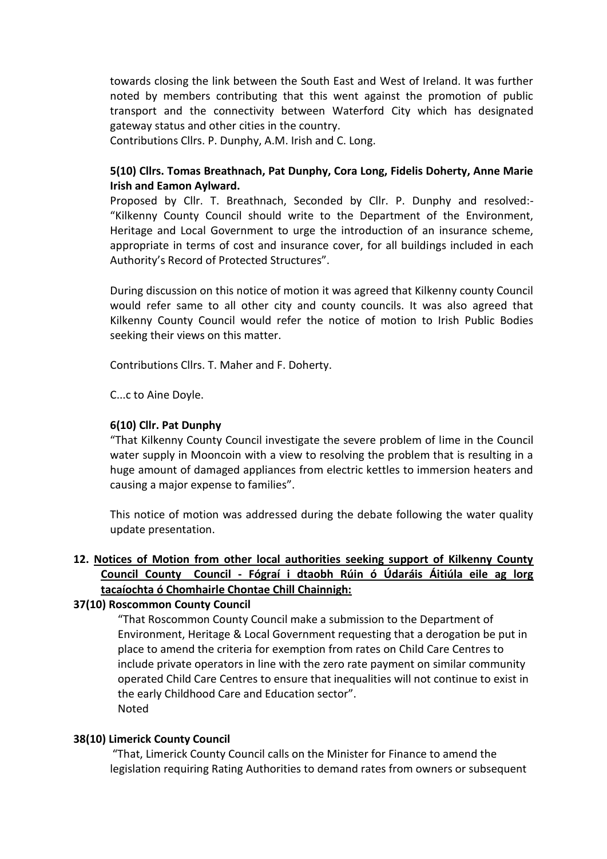towards closing the link between the South East and West of Ireland. It was further noted by members contributing that this went against the promotion of public transport and the connectivity between Waterford City which has designated gateway status and other cities in the country.

Contributions Cllrs. P. Dunphy, A.M. Irish and C. Long.

## **5(10) Cllrs. Tomas Breathnach, Pat Dunphy, Cora Long, Fidelis Doherty, Anne Marie Irish and Eamon Aylward.**

Proposed by Cllr. T. Breathnach, Seconded by Cllr. P. Dunphy and resolved:- "Kilkenny County Council should write to the Department of the Environment, Heritage and Local Government to urge the introduction of an insurance scheme, appropriate in terms of cost and insurance cover, for all buildings included in each Authority's Record of Protected Structures".

During discussion on this notice of motion it was agreed that Kilkenny county Council would refer same to all other city and county councils. It was also agreed that Kilkenny County Council would refer the notice of motion to Irish Public Bodies seeking their views on this matter.

Contributions Cllrs. T. Maher and F. Doherty.

C...c to Aine Doyle.

#### **6(10) Cllr. Pat Dunphy**

"That Kilkenny County Council investigate the severe problem of lime in the Council water supply in Mooncoin with a view to resolving the problem that is resulting in a huge amount of damaged appliances from electric kettles to immersion heaters and causing a major expense to families".

This notice of motion was addressed during the debate following the water quality update presentation.

## **12. Notices of Motion from other local authorities seeking support of Kilkenny County Council County Council - Fógraí i dtaobh Rúin ó Údaráis Áitiúla eile ag lorg tacaíochta ó Chomhairle Chontae Chill Chainnigh:**

### **37(10) Roscommon County Council**

"That Roscommon County Council make a submission to the Department of Environment, Heritage & Local Government requesting that a derogation be put in place to amend the criteria for exemption from rates on Child Care Centres to include private operators in line with the zero rate payment on similar community operated Child Care Centres to ensure that inequalities will not continue to exist in the early Childhood Care and Education sector". Noted

### **38(10) Limerick County Council**

"That, Limerick County Council calls on the Minister for Finance to amend the legislation requiring Rating Authorities to demand rates from owners or subsequent